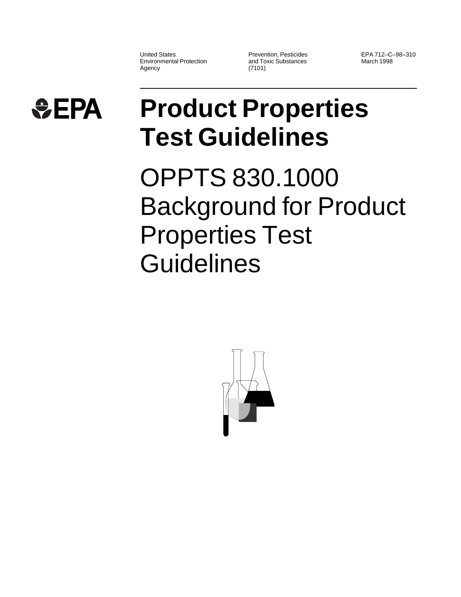United States Environmental Protection Agency

Prevention, Pesticides and Toxic Substances (7101)

EPA 712–C–98–310 March 1998



## **Product Properties Test Guidelines**

OPPTS 830.1000 Background for Product Properties Test **Guidelines** 

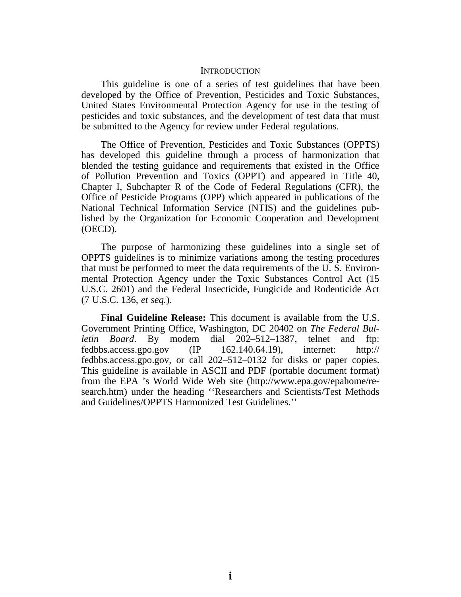## **INTRODUCTION**

This guideline is one of a series of test guidelines that have been developed by the Office of Prevention, Pesticides and Toxic Substances, United States Environmental Protection Agency for use in the testing of pesticides and toxic substances, and the development of test data that must be submitted to the Agency for review under Federal regulations.

The Office of Prevention, Pesticides and Toxic Substances (OPPTS) has developed this guideline through a process of harmonization that blended the testing guidance and requirements that existed in the Office of Pollution Prevention and Toxics (OPPT) and appeared in Title 40, Chapter I, Subchapter R of the Code of Federal Regulations (CFR), the Office of Pesticide Programs (OPP) which appeared in publications of the National Technical Information Service (NTIS) and the guidelines published by the Organization for Economic Cooperation and Development (OECD).

The purpose of harmonizing these guidelines into a single set of OPPTS guidelines is to minimize variations among the testing procedures that must be performed to meet the data requirements of the U. S. Environmental Protection Agency under the Toxic Substances Control Act (15 U.S.C. 2601) and the Federal Insecticide, Fungicide and Rodenticide Act (7 U.S.C. 136, *et seq.*).

**Final Guideline Release:** This document is available from the U.S. Government Printing Office, Washington, DC 20402 on *The Federal Bulletin Board*. By modem dial 202–512–1387, telnet and ftp: fedbbs.access.gpo.gov  $(IP \t 162.140.64.19)$ , internet: http:// fedbbs.access.gpo.gov, or call 202–512–0132 for disks or paper copies. This guideline is available in ASCII and PDF (portable document format) from the EPA 's World Wide Web site (http://www.epa.gov/epahome/research.htm) under the heading ''Researchers and Scientists/Test Methods and Guidelines/OPPTS Harmonized Test Guidelines.''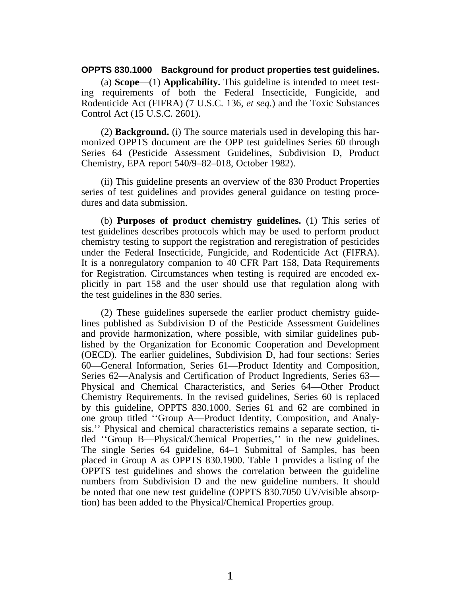## **OPPTS 830.1000 Background for product properties test guidelines.**

(a) **Scope**—(1) **Applicability.** This guideline is intended to meet testing requirements of both the Federal Insecticide, Fungicide, and Rodenticide Act (FIFRA) (7 U.S.C. 136, *et seq.*) and the Toxic Substances Control Act (15 U.S.C. 2601).

(2) **Background.** (i) The source materials used in developing this harmonized OPPTS document are the OPP test guidelines Series 60 through Series 64 (Pesticide Assessment Guidelines, Subdivision D, Product Chemistry, EPA report 540/9–82–018, October 1982).

(ii) This guideline presents an overview of the 830 Product Properties series of test guidelines and provides general guidance on testing procedures and data submission.

(b) **Purposes of product chemistry guidelines.** (1) This series of test guidelines describes protocols which may be used to perform product chemistry testing to support the registration and reregistration of pesticides under the Federal Insecticide, Fungicide, and Rodenticide Act (FIFRA). It is a nonregulatory companion to 40 CFR Part 158, Data Requirements for Registration. Circumstances when testing is required are encoded explicitly in part 158 and the user should use that regulation along with the test guidelines in the 830 series.

(2) These guidelines supersede the earlier product chemistry guidelines published as Subdivision D of the Pesticide Assessment Guidelines and provide harmonization, where possible, with similar guidelines published by the Organization for Economic Cooperation and Development (OECD). The earlier guidelines, Subdivision D, had four sections: Series 60—General Information, Series 61—Product Identity and Composition, Series 62—Analysis and Certification of Product Ingredients, Series 63— Physical and Chemical Characteristics, and Series 64—Other Product Chemistry Requirements. In the revised guidelines, Series 60 is replaced by this guideline, OPPTS 830.1000. Series 61 and 62 are combined in one group titled ''Group A—Product Identity, Composition, and Analysis.'' Physical and chemical characteristics remains a separate section, titled ''Group B—Physical/Chemical Properties,'' in the new guidelines. The single Series 64 guideline, 64–1 Submittal of Samples, has been placed in Group A as OPPTS 830.1900. Table 1 provides a listing of the OPPTS test guidelines and shows the correlation between the guideline numbers from Subdivision D and the new guideline numbers. It should be noted that one new test guideline (OPPTS 830.7050 UV/visible absorption) has been added to the Physical/Chemical Properties group.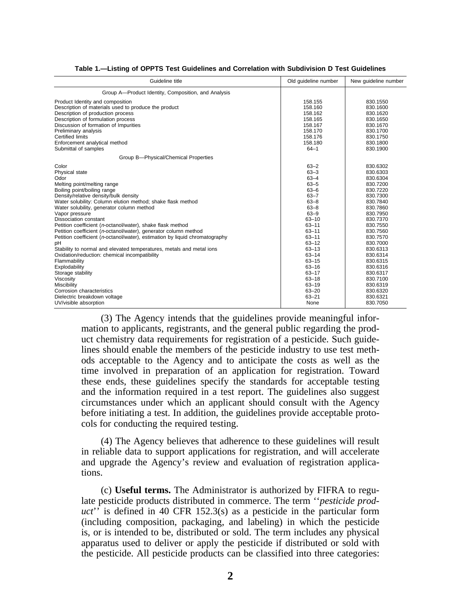| Guideline title                                                             | Old guideline number | New guideline number |
|-----------------------------------------------------------------------------|----------------------|----------------------|
| Group A-Product Identity, Composition, and Analysis                         |                      |                      |
| Product Identity and composition                                            | 158.155              | 830.1550             |
| Description of materials used to produce the product                        | 158.160              | 830.1600             |
| Description of production process                                           | 158.162              | 830.1620             |
| Description of formulation process                                          | 158.165              | 830.1650             |
| Discussion of formation of Impurities                                       | 158.167              | 830.1670             |
| Preliminary analysis                                                        | 158.170              | 830.1700             |
| <b>Certified limits</b>                                                     | 158.176              | 830.1750             |
| Enforcement analytical method                                               | 158.180              | 830.1800             |
| Submittal of samples                                                        | $64 - 1$             | 830.1900             |
| Group B-Physical/Chemical Properties                                        |                      |                      |
| Color                                                                       | $63 - 2$             | 830.6302             |
| Physical state                                                              | $63 - 3$             | 830.6303             |
| Odor                                                                        | $63 - 4$             | 830.6304             |
| Melting point/melting range                                                 | $63 - 5$             | 830.7200             |
| Boiling point/boiling range                                                 | $63 - 6$             | 830.7220             |
| Density/relative density/bulk density                                       | $63 - 7$             | 830.7300             |
| Water solubility: Column elution method; shake flask method                 | $63 - 8$             | 830.7840             |
| Water solubility, generator column method                                   | $63 - 8$             | 830.7860             |
| Vapor pressure                                                              | $63 - 9$             | 830.7950             |
| <b>Dissociation constant</b>                                                | $63 - 10$            | 830.7370             |
| Petition coefficient (n-octanol/water), shake flask method                  | $63 - 11$            | 830.7550             |
| Petition coefficient (n-octanol/water), generator column method             | $63 - 11$            | 830.7560             |
| Petition coefficient (n-octanol/water), estimation by liquid chromatography | $63 - 11$            | 830.7570             |
| pH                                                                          | $63 - 12$            | 830.7000             |
| Stability to normal and elevated temperatures, metals and metal ions        | $63 - 13$            | 830.6313             |
| Oxidation/reduction: chemical incompatibility                               | $63 - 14$            | 830.6314             |
| Flammability                                                                | $63 - 15$            | 830.6315             |
| Explodability                                                               | $63 - 16$            | 830.6316             |
| Storage stability                                                           | $63 - 17$            | 830.6317             |
| Viscosity                                                                   | $63 - 18$            | 830.7100             |
| Miscibility                                                                 | $63 - 19$            | 830.6319             |
| Corrosion characteristics                                                   | $63 - 20$            | 830.6320             |
| Dielectric breakdown voltage                                                | $63 - 21$            | 830.6321             |
| UV/visible absorption                                                       | None                 | 830.7050             |

|  |  |  |  |  | Table 1.—Listing of OPPTS Test Guidelines and Correlation with Subdivision D Test Guidelines |  |
|--|--|--|--|--|----------------------------------------------------------------------------------------------|--|
|  |  |  |  |  |                                                                                              |  |

(3) The Agency intends that the guidelines provide meaningful information to applicants, registrants, and the general public regarding the product chemistry data requirements for registration of a pesticide. Such guidelines should enable the members of the pesticide industry to use test methods acceptable to the Agency and to anticipate the costs as well as the time involved in preparation of an application for registration. Toward these ends, these guidelines specify the standards for acceptable testing and the information required in a test report. The guidelines also suggest circumstances under which an applicant should consult with the Agency before initiating a test. In addition, the guidelines provide acceptable protocols for conducting the required testing.

(4) The Agency believes that adherence to these guidelines will result in reliable data to support applications for registration, and will accelerate and upgrade the Agency's review and evaluation of registration applications.

(c) **Useful terms.** The Administrator is authorized by FIFRA to regulate pesticide products distributed in commerce. The term ''*pesticide product*'' is defined in 40 CFR 152.3(s) as a pesticide in the particular form (including composition, packaging, and labeling) in which the pesticide is, or is intended to be, distributed or sold. The term includes any physical apparatus used to deliver or apply the pesticide if distributed or sold with the pesticide. All pesticide products can be classified into three categories: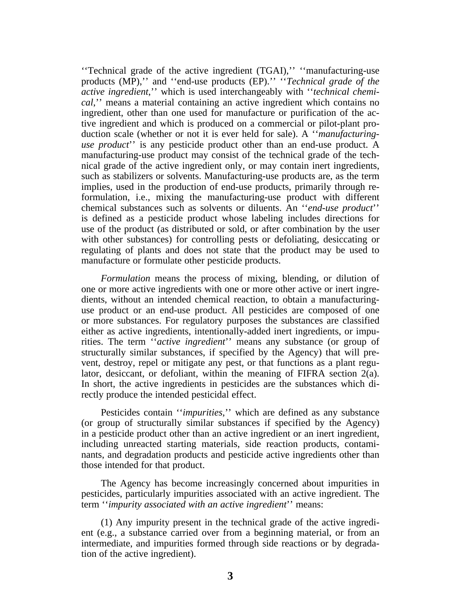''Technical grade of the active ingredient (TGAI),'' ''manufacturing-use products (MP),'' and ''end-use products (EP).'' ''*Technical grade of the active ingredient*,'' which is used interchangeably with ''*technical chemical*,'' means a material containing an active ingredient which contains no ingredient, other than one used for manufacture or purification of the active ingredient and which is produced on a commercial or pilot-plant production scale (whether or not it is ever held for sale). A ''*manufacturinguse product*'' is any pesticide product other than an end-use product. A manufacturing-use product may consist of the technical grade of the technical grade of the active ingredient only, or may contain inert ingredients, such as stabilizers or solvents. Manufacturing-use products are, as the term implies, used in the production of end-use products, primarily through reformulation, i.e., mixing the manufacturing-use product with different chemical substances such as solvents or diluents. An ''*end-use product*'' is defined as a pesticide product whose labeling includes directions for use of the product (as distributed or sold, or after combination by the user with other substances) for controlling pests or defoliating, desiccating or regulating of plants and does not state that the product may be used to manufacture or formulate other pesticide products.

*Formulation* means the process of mixing, blending, or dilution of one or more active ingredients with one or more other active or inert ingredients, without an intended chemical reaction, to obtain a manufacturinguse product or an end-use product. All pesticides are composed of one or more substances. For regulatory purposes the substances are classified either as active ingredients, intentionally-added inert ingredients, or impurities. The term ''*active ingredient*'' means any substance (or group of structurally similar substances, if specified by the Agency) that will prevent, destroy, repel or mitigate any pest, or that functions as a plant regulator, desiccant, or defoliant, within the meaning of FIFRA section 2(a). In short, the active ingredients in pesticides are the substances which directly produce the intended pesticidal effect.

Pesticides contain ''*impurities*,'' which are defined as any substance (or group of structurally similar substances if specified by the Agency) in a pesticide product other than an active ingredient or an inert ingredient, including unreacted starting materials, side reaction products, contaminants, and degradation products and pesticide active ingredients other than those intended for that product.

The Agency has become increasingly concerned about impurities in pesticides, particularly impurities associated with an active ingredient. The term ''*impurity associated with an active ingredient*'' means:

(1) Any impurity present in the technical grade of the active ingredient (e.g., a substance carried over from a beginning material, or from an intermediate, and impurities formed through side reactions or by degradation of the active ingredient).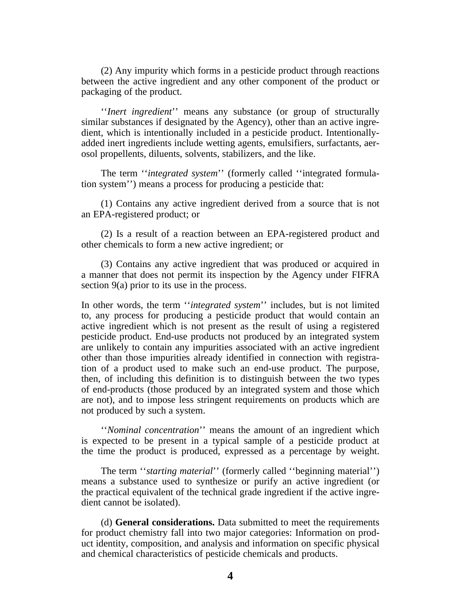(2) Any impurity which forms in a pesticide product through reactions between the active ingredient and any other component of the product or packaging of the product.

''*Inert ingredient*'' means any substance (or group of structurally similar substances if designated by the Agency), other than an active ingredient, which is intentionally included in a pesticide product. Intentionallyadded inert ingredients include wetting agents, emulsifiers, surfactants, aerosol propellents, diluents, solvents, stabilizers, and the like.

The term ''*integrated system*'' (formerly called ''integrated formulation system'') means a process for producing a pesticide that:

(1) Contains any active ingredient derived from a source that is not an EPA-registered product; or

(2) Is a result of a reaction between an EPA-registered product and other chemicals to form a new active ingredient; or

(3) Contains any active ingredient that was produced or acquired in a manner that does not permit its inspection by the Agency under FIFRA section 9(a) prior to its use in the process.

In other words, the term ''*integrated system*'' includes, but is not limited to, any process for producing a pesticide product that would contain an active ingredient which is not present as the result of using a registered pesticide product. End-use products not produced by an integrated system are unlikely to contain any impurities associated with an active ingredient other than those impurities already identified in connection with registration of a product used to make such an end-use product. The purpose, then, of including this definition is to distinguish between the two types of end-products (those produced by an integrated system and those which are not), and to impose less stringent requirements on products which are not produced by such a system.

''*Nominal concentration*'' means the amount of an ingredient which is expected to be present in a typical sample of a pesticide product at the time the product is produced, expressed as a percentage by weight.

The term ''*starting material*'' (formerly called ''beginning material'') means a substance used to synthesize or purify an active ingredient (or the practical equivalent of the technical grade ingredient if the active ingredient cannot be isolated).

(d) **General considerations.** Data submitted to meet the requirements for product chemistry fall into two major categories: Information on product identity, composition, and analysis and information on specific physical and chemical characteristics of pesticide chemicals and products.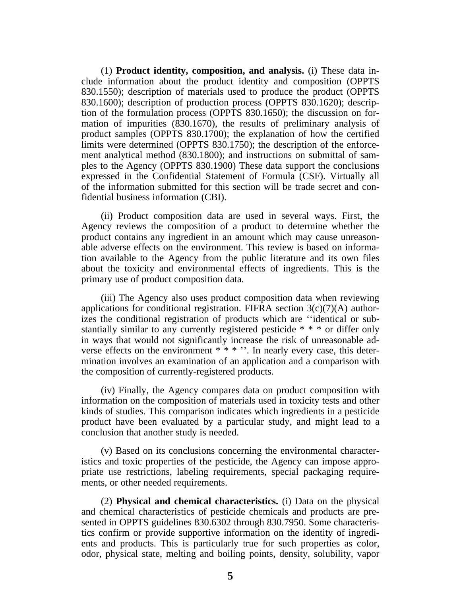(1) **Product identity, composition, and analysis.** (i) These data include information about the product identity and composition (OPPTS 830.1550); description of materials used to produce the product (OPPTS 830.1600); description of production process (OPPTS 830.1620); description of the formulation process (OPPTS 830.1650); the discussion on formation of impurities (830.1670), the results of preliminary analysis of product samples (OPPTS 830.1700); the explanation of how the certified limits were determined (OPPTS 830.1750); the description of the enforcement analytical method (830.1800); and instructions on submittal of samples to the Agency (OPPTS 830.1900) These data support the conclusions expressed in the Confidential Statement of Formula (CSF). Virtually all of the information submitted for this section will be trade secret and confidential business information (CBI).

(ii) Product composition data are used in several ways. First, the Agency reviews the composition of a product to determine whether the product contains any ingredient in an amount which may cause unreasonable adverse effects on the environment. This review is based on information available to the Agency from the public literature and its own files about the toxicity and environmental effects of ingredients. This is the primary use of product composition data.

(iii) The Agency also uses product composition data when reviewing applications for conditional registration. FIFRA section  $3(c)(7)(A)$  authorizes the conditional registration of products which are ''identical or substantially similar to any currently registered pesticide \* \* \* or differ only in ways that would not significantly increase the risk of unreasonable adverse effects on the environment \* \* \* ". In nearly every case, this determination involves an examination of an application and a comparison with the composition of currently-registered products.

(iv) Finally, the Agency compares data on product composition with information on the composition of materials used in toxicity tests and other kinds of studies. This comparison indicates which ingredients in a pesticide product have been evaluated by a particular study, and might lead to a conclusion that another study is needed.

(v) Based on its conclusions concerning the environmental characteristics and toxic properties of the pesticide, the Agency can impose appropriate use restrictions, labeling requirements, special packaging requirements, or other needed requirements.

(2) **Physical and chemical characteristics.** (i) Data on the physical and chemical characteristics of pesticide chemicals and products are presented in OPPTS guidelines 830.6302 through 830.7950. Some characteristics confirm or provide supportive information on the identity of ingredients and products. This is particularly true for such properties as color, odor, physical state, melting and boiling points, density, solubility, vapor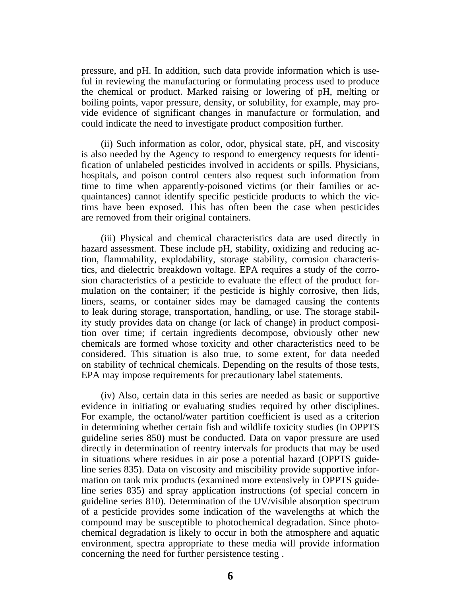pressure, and pH. In addition, such data provide information which is useful in reviewing the manufacturing or formulating process used to produce the chemical or product. Marked raising or lowering of pH, melting or boiling points, vapor pressure, density, or solubility, for example, may provide evidence of significant changes in manufacture or formulation, and could indicate the need to investigate product composition further.

(ii) Such information as color, odor, physical state, pH, and viscosity is also needed by the Agency to respond to emergency requests for identification of unlabeled pesticides involved in accidents or spills. Physicians, hospitals, and poison control centers also request such information from time to time when apparently-poisoned victims (or their families or acquaintances) cannot identify specific pesticide products to which the victims have been exposed. This has often been the case when pesticides are removed from their original containers.

(iii) Physical and chemical characteristics data are used directly in hazard assessment. These include pH, stability, oxidizing and reducing action, flammability, explodability, storage stability, corrosion characteristics, and dielectric breakdown voltage. EPA requires a study of the corrosion characteristics of a pesticide to evaluate the effect of the product formulation on the container; if the pesticide is highly corrosive, then lids, liners, seams, or container sides may be damaged causing the contents to leak during storage, transportation, handling, or use. The storage stability study provides data on change (or lack of change) in product composition over time; if certain ingredients decompose, obviously other new chemicals are formed whose toxicity and other characteristics need to be considered. This situation is also true, to some extent, for data needed on stability of technical chemicals. Depending on the results of those tests, EPA may impose requirements for precautionary label statements.

(iv) Also, certain data in this series are needed as basic or supportive evidence in initiating or evaluating studies required by other disciplines. For example, the octanol/water partition coefficient is used as a criterion in determining whether certain fish and wildlife toxicity studies (in OPPTS guideline series 850) must be conducted. Data on vapor pressure are used directly in determination of reentry intervals for products that may be used in situations where residues in air pose a potential hazard (OPPTS guideline series 835). Data on viscosity and miscibility provide supportive information on tank mix products (examined more extensively in OPPTS guideline series 835) and spray application instructions (of special concern in guideline series 810). Determination of the UV/visible absorption spectrum of a pesticide provides some indication of the wavelengths at which the compound may be susceptible to photochemical degradation. Since photochemical degradation is likely to occur in both the atmosphere and aquatic environment, spectra appropriate to these media will provide information concerning the need for further persistence testing .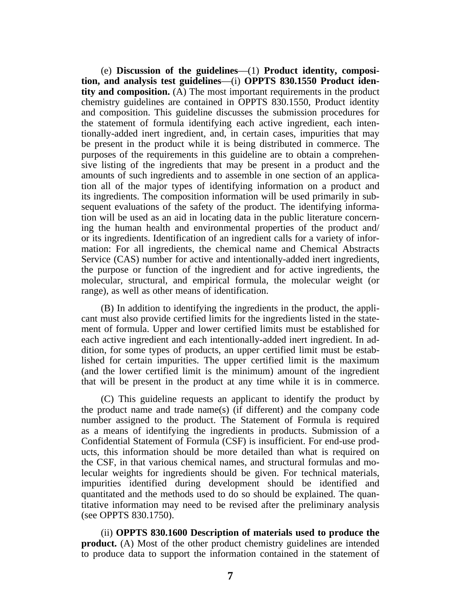(e) **Discussion of the guidelines**—(1) **Product identity, composition, and analysis test guidelines**—(i) **OPPTS 830.1550 Product identity and composition.** (A) The most important requirements in the product chemistry guidelines are contained in OPPTS 830.1550, Product identity and composition. This guideline discusses the submission procedures for the statement of formula identifying each active ingredient, each intentionally-added inert ingredient, and, in certain cases, impurities that may be present in the product while it is being distributed in commerce. The purposes of the requirements in this guideline are to obtain a comprehensive listing of the ingredients that may be present in a product and the amounts of such ingredients and to assemble in one section of an application all of the major types of identifying information on a product and its ingredients. The composition information will be used primarily in subsequent evaluations of the safety of the product. The identifying information will be used as an aid in locating data in the public literature concerning the human health and environmental properties of the product and/ or its ingredients. Identification of an ingredient calls for a variety of information: For all ingredients, the chemical name and Chemical Abstracts Service (CAS) number for active and intentionally-added inert ingredients, the purpose or function of the ingredient and for active ingredients, the molecular, structural, and empirical formula, the molecular weight (or range), as well as other means of identification.

(B) In addition to identifying the ingredients in the product, the applicant must also provide certified limits for the ingredients listed in the statement of formula. Upper and lower certified limits must be established for each active ingredient and each intentionally-added inert ingredient. In addition, for some types of products, an upper certified limit must be established for certain impurities. The upper certified limit is the maximum (and the lower certified limit is the minimum) amount of the ingredient that will be present in the product at any time while it is in commerce.

(C) This guideline requests an applicant to identify the product by the product name and trade name(s) (if different) and the company code number assigned to the product. The Statement of Formula is required as a means of identifying the ingredients in products. Submission of a Confidential Statement of Formula (CSF) is insufficient. For end-use products, this information should be more detailed than what is required on the CSF, in that various chemical names, and structural formulas and molecular weights for ingredients should be given. For technical materials, impurities identified during development should be identified and quantitated and the methods used to do so should be explained. The quantitative information may need to be revised after the preliminary analysis (see OPPTS 830.1750).

(ii) **OPPTS 830.1600 Description of materials used to produce the product.** (A) Most of the other product chemistry guidelines are intended to produce data to support the information contained in the statement of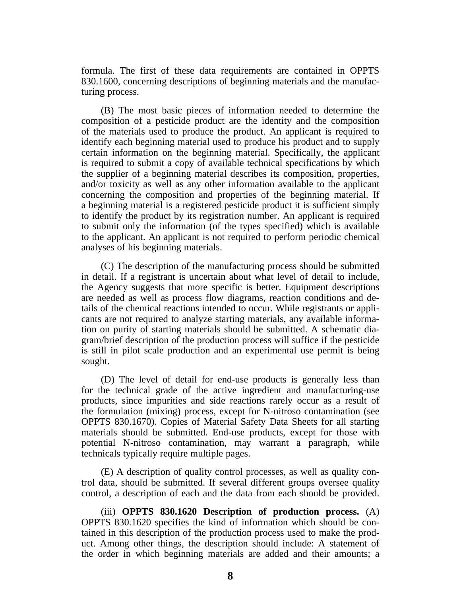formula. The first of these data requirements are contained in OPPTS 830.1600, concerning descriptions of beginning materials and the manufacturing process.

(B) The most basic pieces of information needed to determine the composition of a pesticide product are the identity and the composition of the materials used to produce the product. An applicant is required to identify each beginning material used to produce his product and to supply certain information on the beginning material. Specifically, the applicant is required to submit a copy of available technical specifications by which the supplier of a beginning material describes its composition, properties, and/or toxicity as well as any other information available to the applicant concerning the composition and properties of the beginning material. If a beginning material is a registered pesticide product it is sufficient simply to identify the product by its registration number. An applicant is required to submit only the information (of the types specified) which is available to the applicant. An applicant is not required to perform periodic chemical analyses of his beginning materials.

(C) The description of the manufacturing process should be submitted in detail. If a registrant is uncertain about what level of detail to include, the Agency suggests that more specific is better. Equipment descriptions are needed as well as process flow diagrams, reaction conditions and details of the chemical reactions intended to occur. While registrants or applicants are not required to analyze starting materials, any available information on purity of starting materials should be submitted. A schematic diagram/brief description of the production process will suffice if the pesticide is still in pilot scale production and an experimental use permit is being sought.

(D) The level of detail for end-use products is generally less than for the technical grade of the active ingredient and manufacturing-use products, since impurities and side reactions rarely occur as a result of the formulation (mixing) process, except for N-nitroso contamination (see OPPTS 830.1670). Copies of Material Safety Data Sheets for all starting materials should be submitted. End-use products, except for those with potential N-nitroso contamination, may warrant a paragraph, while technicals typically require multiple pages.

(E) A description of quality control processes, as well as quality control data, should be submitted. If several different groups oversee quality control, a description of each and the data from each should be provided.

(iii) **OPPTS 830.1620 Description of production process.** (A) OPPTS 830.1620 specifies the kind of information which should be contained in this description of the production process used to make the product. Among other things, the description should include: A statement of the order in which beginning materials are added and their amounts; a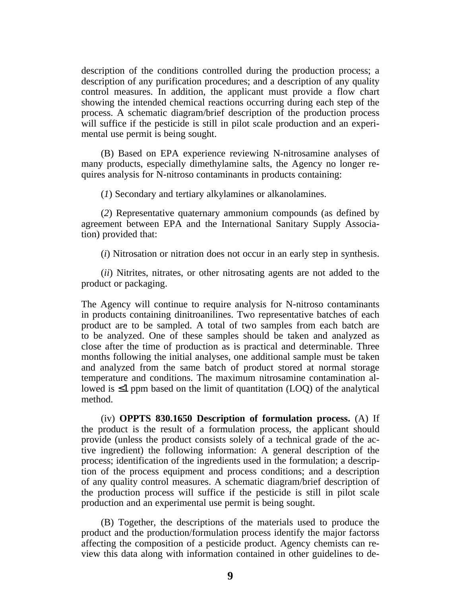description of the conditions controlled during the production process; a description of any purification procedures; and a description of any quality control measures. In addition, the applicant must provide a flow chart showing the intended chemical reactions occurring during each step of the process. A schematic diagram/brief description of the production process will suffice if the pesticide is still in pilot scale production and an experimental use permit is being sought.

(B) Based on EPA experience reviewing N-nitrosamine analyses of many products, especially dimethylamine salts, the Agency no longer requires analysis for N-nitroso contaminants in products containing:

(*1*) Secondary and tertiary alkylamines or alkanolamines.

(*2*) Representative quaternary ammonium compounds (as defined by agreement between EPA and the International Sanitary Supply Association) provided that:

(*i*) Nitrosation or nitration does not occur in an early step in synthesis.

(*ii*) Nitrites, nitrates, or other nitrosating agents are not added to the product or packaging.

The Agency will continue to require analysis for N-nitroso contaminants in products containing dinitroanilines. Two representative batches of each product are to be sampled. A total of two samples from each batch are to be analyzed. One of these samples should be taken and analyzed as close after the time of production as is practical and determinable. Three months following the initial analyses, one additional sample must be taken and analyzed from the same batch of product stored at normal storage temperature and conditions. The maximum nitrosamine contamination allowed is ≤1 ppm based on the limit of quantitation (LOQ) of the analytical method.

(iv) **OPPTS 830.1650 Description of formulation process.** (A) If the product is the result of a formulation process, the applicant should provide (unless the product consists solely of a technical grade of the active ingredient) the following information: A general description of the process; identification of the ingredients used in the formulation; a description of the process equipment and process conditions; and a description of any quality control measures. A schematic diagram/brief description of the production process will suffice if the pesticide is still in pilot scale production and an experimental use permit is being sought.

(B) Together, the descriptions of the materials used to produce the product and the production/formulation process identify the major factorss affecting the composition of a pesticide product. Agency chemists can review this data along with information contained in other guidelines to de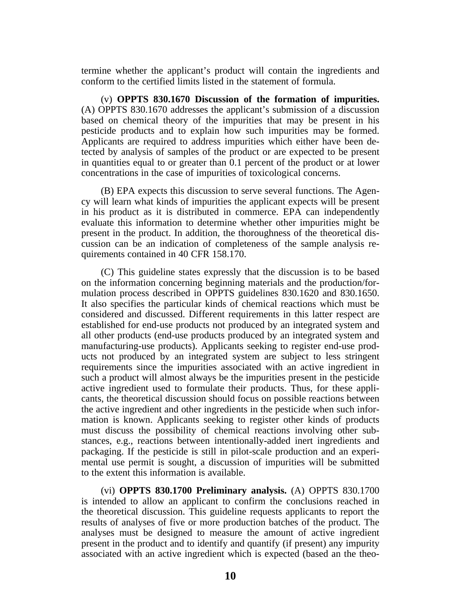termine whether the applicant's product will contain the ingredients and conform to the certified limits listed in the statement of formula.

(v) **OPPTS 830.1670 Discussion of the formation of impurities.** (A) OPPTS 830.1670 addresses the applicant's submission of a discussion based on chemical theory of the impurities that may be present in his pesticide products and to explain how such impurities may be formed. Applicants are required to address impurities which either have been detected by analysis of samples of the product or are expected to be present in quantities equal to or greater than 0.1 percent of the product or at lower concentrations in the case of impurities of toxicological concerns.

(B) EPA expects this discussion to serve several functions. The Agency will learn what kinds of impurities the applicant expects will be present in his product as it is distributed in commerce. EPA can independently evaluate this information to determine whether other impurities might be present in the product. In addition, the thoroughness of the theoretical discussion can be an indication of completeness of the sample analysis requirements contained in 40 CFR 158.170.

(C) This guideline states expressly that the discussion is to be based on the information concerning beginning materials and the production/formulation process described in OPPTS guidelines 830.1620 and 830.1650. It also specifies the particular kinds of chemical reactions which must be considered and discussed. Different requirements in this latter respect are established for end-use products not produced by an integrated system and all other products (end-use products produced by an integrated system and manufacturing-use products). Applicants seeking to register end-use products not produced by an integrated system are subject to less stringent requirements since the impurities associated with an active ingredient in such a product will almost always be the impurities present in the pesticide active ingredient used to formulate their products. Thus, for these applicants, the theoretical discussion should focus on possible reactions between the active ingredient and other ingredients in the pesticide when such information is known. Applicants seeking to register other kinds of products must discuss the possibility of chemical reactions involving other substances, e.g., reactions between intentionally-added inert ingredients and packaging. If the pesticide is still in pilot-scale production and an experimental use permit is sought, a discussion of impurities will be submitted to the extent this information is available.

(vi) **OPPTS 830.1700 Preliminary analysis.** (A) OPPTS 830.1700 is intended to allow an applicant to confirm the conclusions reached in the theoretical discussion. This guideline requests applicants to report the results of analyses of five or more production batches of the product. The analyses must be designed to measure the amount of active ingredient present in the product and to identify and quantify (if present) any impurity associated with an active ingredient which is expected (based an the theo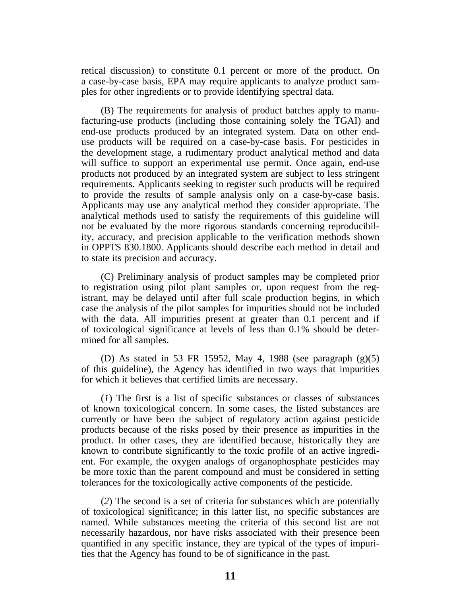retical discussion) to constitute 0.1 percent or more of the product. On a case-by-case basis, EPA may require applicants to analyze product samples for other ingredients or to provide identifying spectral data.

(B) The requirements for analysis of product batches apply to manufacturing-use products (including those containing solely the TGAI) and end-use products produced by an integrated system. Data on other enduse products will be required on a case-by-case basis. For pesticides in the development stage, a rudimentary product analytical method and data will suffice to support an experimental use permit. Once again, end-use products not produced by an integrated system are subject to less stringent requirements. Applicants seeking to register such products will be required to provide the results of sample analysis only on a case-by-case basis. Applicants may use any analytical method they consider appropriate. The analytical methods used to satisfy the requirements of this guideline will not be evaluated by the more rigorous standards concerning reproducibility, accuracy, and precision applicable to the verification methods shown in OPPTS 830.1800. Applicants should describe each method in detail and to state its precision and accuracy.

(C) Preliminary analysis of product samples may be completed prior to registration using pilot plant samples or, upon request from the registrant, may be delayed until after full scale production begins, in which case the analysis of the pilot samples for impurities should not be included with the data. All impurities present at greater than 0.1 percent and if of toxicological significance at levels of less than 0.1% should be determined for all samples.

(D) As stated in 53 FR 15952, May 4, 1988 (see paragraph (g)(5) of this guideline), the Agency has identified in two ways that impurities for which it believes that certified limits are necessary.

(*1*) The first is a list of specific substances or classes of substances of known toxicological concern. In some cases, the listed substances are currently or have been the subject of regulatory action against pesticide products because of the risks posed by their presence as impurities in the product. In other cases, they are identified because, historically they are known to contribute significantly to the toxic profile of an active ingredient. For example, the oxygen analogs of organophosphate pesticides may be more toxic than the parent compound and must be considered in setting tolerances for the toxicologically active components of the pesticide.

(*2*) The second is a set of criteria for substances which are potentially of toxicological significance; in this latter list, no specific substances are named. While substances meeting the criteria of this second list are not necessarily hazardous, nor have risks associated with their presence been quantified in any specific instance, they are typical of the types of impurities that the Agency has found to be of significance in the past.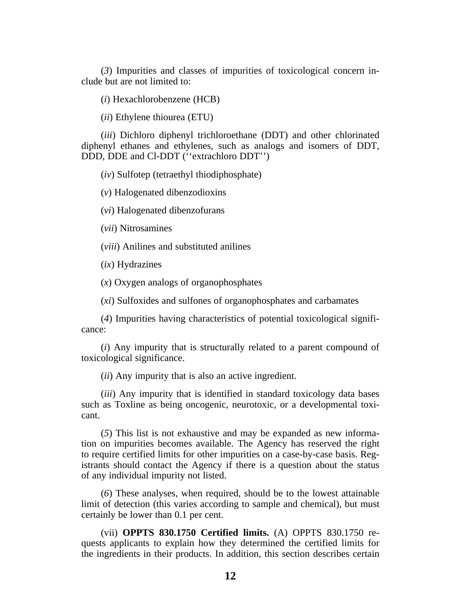(*3*) Impurities and classes of impurities of toxicological concern include but are not limited to:

(*i*) Hexachlorobenzene (HCB)

(*ii*) Ethylene thiourea (ETU)

(*iii*) Dichloro diphenyl trichloroethane (DDT) and other chlorinated diphenyl ethanes and ethylenes, such as analogs and isomers of DDT, DDD, DDE and Cl-DDT (''extrachloro DDT'')

(*iv*) Sulfotep (tetraethyl thiodiphosphate)

(*v*) Halogenated dibenzodioxins

(*vi*) Halogenated dibenzofurans

(*vii*) Nitrosamines

(*viii*) Anilines and substituted anilines

(*ix*) Hydrazines

(*x*) Oxygen analogs of organophosphates

(*xi*) Sulfoxides and sulfones of organophosphates and carbamates

(*4*) Impurities having characteristics of potential toxicological significance:

(*i*) Any impurity that is structurally related to a parent compound of toxicological significance.

(*ii*) Any impurity that is also an active ingredient.

(*iii*) Any impurity that is identified in standard toxicology data bases such as Toxline as being oncogenic, neurotoxic, or a developmental toxicant.

(*5*) This list is not exhaustive and may be expanded as new information on impurities becomes available. The Agency has reserved the right to require certified limits for other impurities on a case-by-case basis. Registrants should contact the Agency if there is a question about the status of any individual impurity not listed.

(*6*) These analyses, when required, should be to the lowest attainable limit of detection (this varies according to sample and chemical), but must certainly be lower than 0.1 per cent.

(vii) **OPPTS 830.1750 Certified limits.** (A) OPPTS 830.1750 requests applicants to explain how they determined the certified limits for the ingredients in their products. In addition, this section describes certain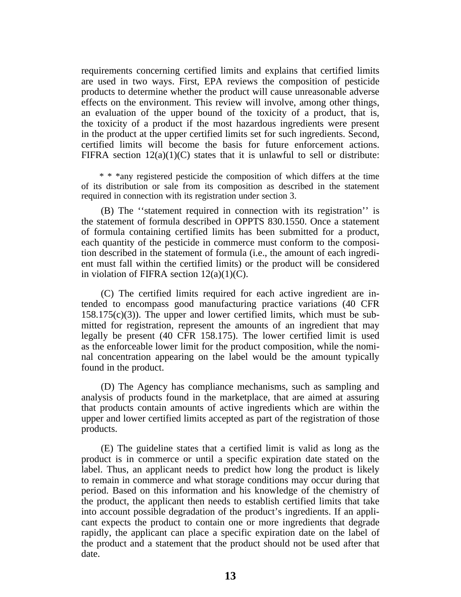requirements concerning certified limits and explains that certified limits are used in two ways. First, EPA reviews the composition of pesticide products to determine whether the product will cause unreasonable adverse effects on the environment. This review will involve, among other things, an evaluation of the upper bound of the toxicity of a product, that is, the toxicity of a product if the most hazardous ingredients were present in the product at the upper certified limits set for such ingredients. Second, certified limits will become the basis for future enforcement actions. FIFRA section  $12(a)(1)(C)$  states that it is unlawful to sell or distribute:

\* \* \*any registered pesticide the composition of which differs at the time of its distribution or sale from its composition as described in the statement required in connection with its registration under section 3.

(B) The ''statement required in connection with its registration'' is the statement of formula described in OPPTS 830.1550. Once a statement of formula containing certified limits has been submitted for a product, each quantity of the pesticide in commerce must conform to the composition described in the statement of formula (i.e., the amount of each ingredient must fall within the certified limits) or the product will be considered in violation of FIFRA section  $12(a)(1)(C)$ .

(C) The certified limits required for each active ingredient are intended to encompass good manufacturing practice variations (40 CFR  $158.175(c)(3)$ ). The upper and lower certified limits, which must be submitted for registration, represent the amounts of an ingredient that may legally be present (40 CFR 158.175). The lower certified limit is used as the enforceable lower limit for the product composition, while the nominal concentration appearing on the label would be the amount typically found in the product.

(D) The Agency has compliance mechanisms, such as sampling and analysis of products found in the marketplace, that are aimed at assuring that products contain amounts of active ingredients which are within the upper and lower certified limits accepted as part of the registration of those products.

(E) The guideline states that a certified limit is valid as long as the product is in commerce or until a specific expiration date stated on the label. Thus, an applicant needs to predict how long the product is likely to remain in commerce and what storage conditions may occur during that period. Based on this information and his knowledge of the chemistry of the product, the applicant then needs to establish certified limits that take into account possible degradation of the product's ingredients. If an applicant expects the product to contain one or more ingredients that degrade rapidly, the applicant can place a specific expiration date on the label of the product and a statement that the product should not be used after that date.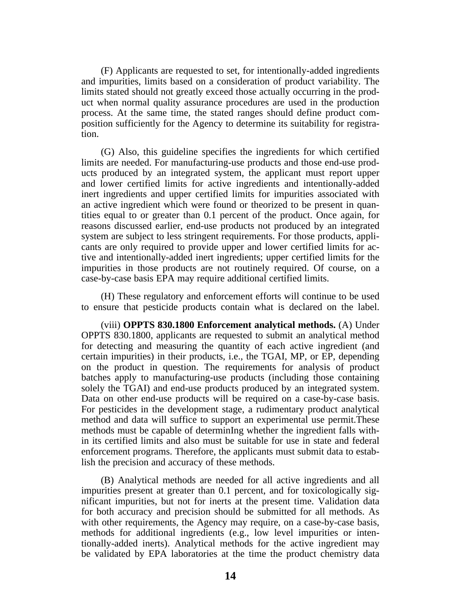(F) Applicants are requested to set, for intentionally-added ingredients and impurities, limits based on a consideration of product variability. The limits stated should not greatly exceed those actually occurring in the product when normal quality assurance procedures are used in the production process. At the same time, the stated ranges should define product composition sufficiently for the Agency to determine its suitability for registration.

(G) Also, this guideline specifies the ingredients for which certified limits are needed. For manufacturing-use products and those end-use products produced by an integrated system, the applicant must report upper and lower certified limits for active ingredients and intentionally-added inert ingredients and upper certified limits for impurities associated with an active ingredient which were found or theorized to be present in quantities equal to or greater than 0.1 percent of the product. Once again, for reasons discussed earlier, end-use products not produced by an integrated system are subject to less stringent requirements. For those products, applicants are only required to provide upper and lower certified limits for active and intentionally-added inert ingredients; upper certified limits for the impurities in those products are not routinely required. Of course, on a case-by-case basis EPA may require additional certified limits.

(H) These regulatory and enforcement efforts will continue to be used to ensure that pesticide products contain what is declared on the label.

(viii) **OPPTS 830.1800 Enforcement analytical methods.** (A) Under OPPTS 830.1800, applicants are requested to submit an analytical method for detecting and measuring the quantity of each active ingredient (and certain impurities) in their products, i.e., the TGAI, MP, or EP, depending on the product in question. The requirements for analysis of product batches apply to manufacturing-use products (including those containing solely the TGAI) and end-use products produced by an integrated system. Data on other end-use products will be required on a case-by-case basis. For pesticides in the development stage, a rudimentary product analytical method and data will suffice to support an experimental use permit.These methods must be capable of determinIng whether the ingredient falls within its certified limits and also must be suitable for use in state and federal enforcement programs. Therefore, the applicants must submit data to establish the precision and accuracy of these methods.

(B) Analytical methods are needed for all active ingredients and all impurities present at greater than 0.1 percent, and for toxicologically significant impurities, but not for inerts at the present time. Validation data for both accuracy and precision should be submitted for all methods. As with other requirements, the Agency may require, on a case-by-case basis, methods for additional ingredients (e.g., low level impurities or intentionally-added inerts). Analytical methods for the active ingredient may be validated by EPA laboratories at the time the product chemistry data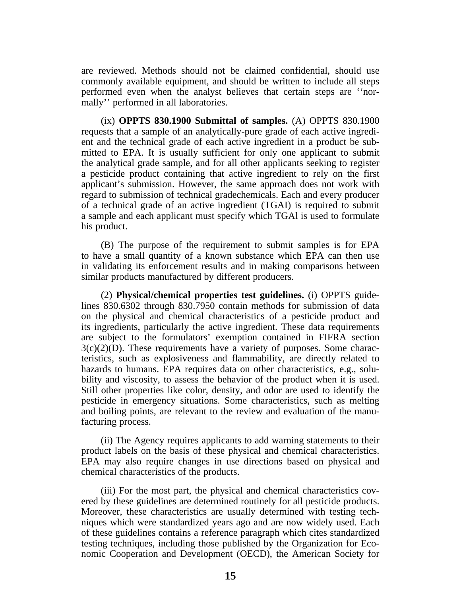are reviewed. Methods should not be claimed confidential, should use commonly available equipment, and should be written to include all steps performed even when the analyst believes that certain steps are ''normally'' performed in all laboratories.

(ix) **OPPTS 830.1900 Submittal of samples.** (A) OPPTS 830.1900 requests that a sample of an analytically-pure grade of each active ingredient and the technical grade of each active ingredient in a product be submitted to EPA. It is usually sufficient for only one applicant to submit the analytical grade sample, and for all other applicants seeking to register a pesticide product containing that active ingredient to rely on the first applicant's submission. However, the same approach does not work with regard to submission of technical gradechemicals. Each and every producer of a technical grade of an active ingredient (TGAI) is required to submit a sample and each applicant must specify which TGAl is used to formulate his product.

(B) The purpose of the requirement to submit samples is for EPA to have a small quantity of a known substance which EPA can then use in validating its enforcement results and in making comparisons between similar products manufactured by different producers.

(2) **Physical/chemical properties test guidelines.** (i) OPPTS guidelines 830.6302 through 830.7950 contain methods for submission of data on the physical and chemical characteristics of a pesticide product and its ingredients, particularly the active ingredient. These data requirements are subject to the formulators' exemption contained in FIFRA section  $3(c)(2)(D)$ . These requirements have a variety of purposes. Some characteristics, such as explosiveness and flammability, are directly related to hazards to humans. EPA requires data on other characteristics, e.g., solubility and viscosity, to assess the behavior of the product when it is used. Still other properties like color, density, and odor are used to identify the pesticide in emergency situations. Some characteristics, such as melting and boiling points, are relevant to the review and evaluation of the manufacturing process.

(ii) The Agency requires applicants to add warning statements to their product labels on the basis of these physical and chemical characteristics. EPA may also require changes in use directions based on physical and chemical characteristics of the products.

(iii) For the most part, the physical and chemical characteristics covered by these guidelines are determined routinely for all pesticide products. Moreover, these characteristics are usually determined with testing techniques which were standardized years ago and are now widely used. Each of these guidelines contains a reference paragraph which cites standardized testing techniques, including those published by the Organization for Economic Cooperation and Development (OECD), the American Society for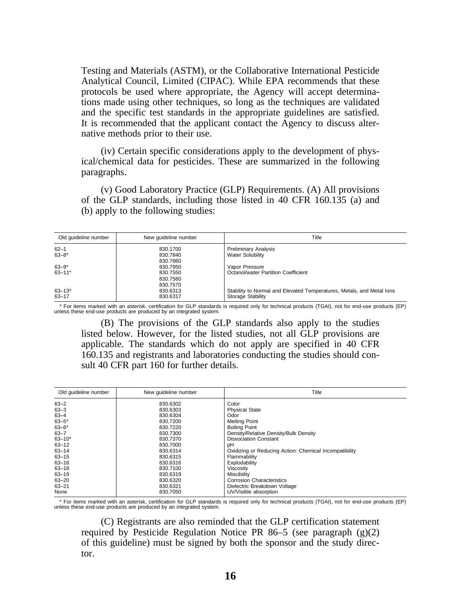Testing and Materials (ASTM), or the Collaborative International Pesticide Analytical Council, Limited (CIPAC). While EPA recommends that these protocols be used where appropriate, the Agency will accept determinations made using other techniques, so long as the techniques are validated and the specific test standards in the appropriate guidelines are satisfied. It is recommended that the applicant contact the Agency to discuss alternative methods prior to their use.

(iv) Certain specific considerations apply to the development of physical/chemical data for pesticides. These are summarized in the following paragraphs.

(v) Good Laboratory Practice (GLP) Requirements. (A) All provisions of the GLP standards, including those listed in 40 CFR 160.135 (a) and (b) apply to the following studies:

| Old quideline number | New quideline number | Title                                                                 |
|----------------------|----------------------|-----------------------------------------------------------------------|
| $62 - 1$             | 830.1700             | <b>Preliminary Analysis</b>                                           |
| $63 - 8*$            | 830.7840             | <b>Water Solubility</b>                                               |
|                      | 830.7860             |                                                                       |
| $63 - 9*$            | 830.7950             | Vapor Pressure                                                        |
| $63 - 11*$           | 830.7550             | Octanol/water Partition Coefficient                                   |
|                      | 830.7560             |                                                                       |
|                      | 830.7570             |                                                                       |
| $63 - 13*$           | 830.6313             | Stability to Normal and Elevated Temperatures, Metals, and Metal lons |
| $63 - 17$            | 830.6317             | <b>Storage Stability</b>                                              |

\* For items marked with an asterisk, certification for GLP standards is required only for technical products (TGAI), not for end-use products (EP) unless these end-use products are produced by an integrated system.

(B) The provisions of the GLP standards also apply to the studies listed below. However, for the listed studies, not all GLP provisions are applicable. The standards which do not apply are specified in 40 CFR 160.135 and registrants and laboratories conducting the studies should consult 40 CFR part 160 for further details.

| Old quideline number                | New quideline number             | Title                                                                 |
|-------------------------------------|----------------------------------|-----------------------------------------------------------------------|
| $63 - 2$                            | 830.6302                         | Color                                                                 |
| $63 - 3$                            | 830.6303                         | <b>Physical State</b>                                                 |
| $63 - 4$<br>$63 - 5*$               | 830.6304<br>830.7200             | Odor<br><b>Melting Point</b><br><b>Boiling Point</b>                  |
| $63 - 6*$<br>$63 - 7$<br>$63 - 10*$ | 830.7220<br>830.7300<br>830.7370 | Density/Relative Density/Bulk Density<br><b>Dissociation Constant</b> |
| $63 - 12$                           | 830.7000                         | рH                                                                    |
| $63 - 14$                           | 830.6314                         | Oxidizing or Reducing Action: Chemical Incompatibility                |
| $63 - 15$                           | 830.6315                         | Flammability                                                          |
| $63 - 16$                           | 830.6316                         | Explodability                                                         |
| $63 - 18$                           | 830.7100                         | Viscosity                                                             |
| $63 - 19$                           | 830.6319                         | Miscibility                                                           |
| $63 - 20$                           | 830.6320                         | <b>Corrosion Characteristics</b>                                      |
| $63 - 21$                           | 830.6321                         | Dielectric Breakdown Voltage                                          |
| None                                | 830.7050                         | UV/Visible absorption                                                 |

\* For items marked with an asterisk, certification for GLP standards is required only for technical products (TGAI), not for end-use products (EP) unless these end-use products are produced by an integrated system.

(C) Registrants are also reminded that the GLP certification statement required by Pesticide Regulation Notice PR 86–5 (see paragraph  $(g)(2)$ ) of this guideline) must be signed by both the sponsor and the study director.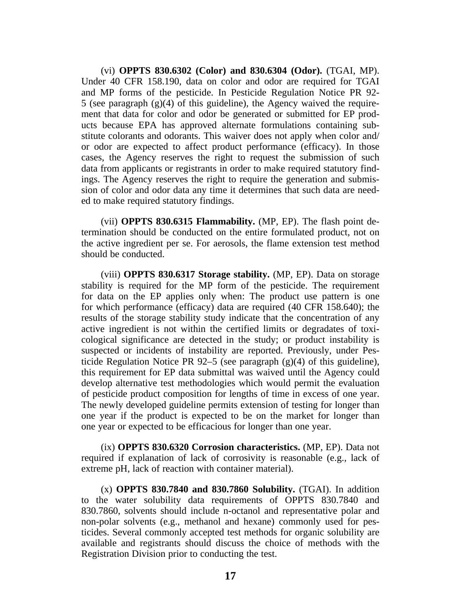(vi) **OPPTS 830.6302 (Color) and 830.6304 (Odor).** (TGAI, MP). Under 40 CFR 158.190, data on color and odor are required for TGAI and MP forms of the pesticide. In Pesticide Regulation Notice PR 92- 5 (see paragraph (g)(4) of this guideline), the Agency waived the requirement that data for color and odor be generated or submitted for EP products because EPA has approved alternate formulations containing substitute colorants and odorants. This waiver does not apply when color and/ or odor are expected to affect product performance (efficacy). In those cases, the Agency reserves the right to request the submission of such data from applicants or registrants in order to make required statutory findings. The Agency reserves the right to require the generation and submission of color and odor data any time it determines that such data are needed to make required statutory findings.

(vii) **OPPTS 830.6315 Flammability.** (MP, EP). The flash point determination should be conducted on the entire formulated product, not on the active ingredient per se. For aerosols, the flame extension test method should be conducted.

(viii) **OPPTS 830.6317 Storage stability.** (MP, EP). Data on storage stability is required for the MP form of the pesticide. The requirement for data on the EP applies only when: The product use pattern is one for which performance (efficacy) data are required (40 CFR 158.640); the results of the storage stability study indicate that the concentration of any active ingredient is not within the certified limits or degradates of toxicological significance are detected in the study; or product instability is suspected or incidents of instability are reported. Previously, under Pesticide Regulation Notice PR 92–5 (see paragraph  $(g)(4)$  of this guideline), this requirement for EP data submittal was waived until the Agency could develop alternative test methodologies which would permit the evaluation of pesticide product composition for lengths of time in excess of one year. The newly developed guideline permits extension of testing for longer than one year if the product is expected to be on the market for longer than one year or expected to be efficacious for longer than one year.

(ix) **OPPTS 830.6320 Corrosion characteristics.** (MP, EP). Data not required if explanation of lack of corrosivity is reasonable (e.g., lack of extreme pH, lack of reaction with container material).

(x) **OPPTS 830.7840 and 830.7860 Solubility.** (TGAI). In addition to the water solubility data requirements of OPPTS 830.7840 and 830.7860, solvents should include n-octanol and representative polar and non-polar solvents (e.g., methanol and hexane) commonly used for pesticides. Several commonly accepted test methods for organic solubility are available and registrants should discuss the choice of methods with the Registration Division prior to conducting the test.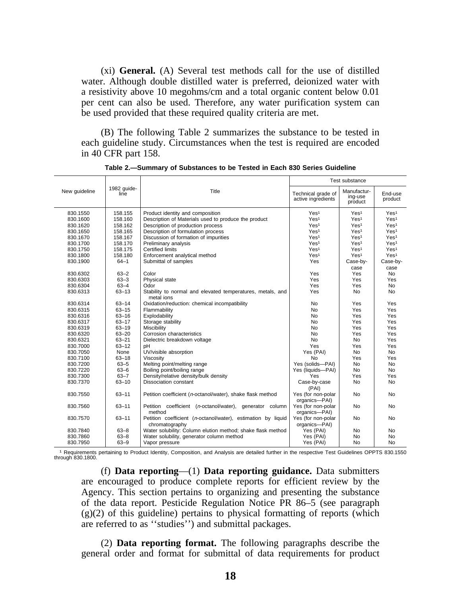(xi) **General.** (A) Several test methods call for the use of distilled water. Although double distilled water is preferred, deionized water with a resistivity above 10 megohms/cm and a total organic content below 0.01 per cent can also be used. Therefore, any water purification system can be used provided that these required quality criteria are met.

(B) The following Table 2 summarizes the substance to be tested in each guideline study. Circumstances when the test is required are encoded in 40 CFR part 158.

|               |                     |                                                                                | Test substance                           |                                   |                    |  |
|---------------|---------------------|--------------------------------------------------------------------------------|------------------------------------------|-----------------------------------|--------------------|--|
| New quideline | 1982 guide-<br>line | Title                                                                          | Technical grade of<br>active ingredients | Manufactur-<br>ing-use<br>product | End-use<br>product |  |
| 830.1550      | 158.155             | Product identity and composition                                               | Yes <sup>1</sup>                         | Yes <sup>1</sup>                  | Yes <sup>1</sup>   |  |
| 830.1600      | 158.160             | Description of Materials used to produce the product                           | Yes <sup>1</sup>                         | Yes <sup>1</sup>                  | Yes <sup>1</sup>   |  |
| 830.1620      | 158.162             | Description of production process                                              | Yes <sup>1</sup>                         | Yes <sup>1</sup>                  | Yes <sup>1</sup>   |  |
| 830.1650      | 158.165             | Description of formulation process                                             | Yes <sup>1</sup>                         | Yes <sup>1</sup>                  | Yes <sup>1</sup>   |  |
| 830.1670      | 158.167             | Discussion of formation of impurities                                          | Yes <sup>1</sup>                         | Yes <sup>1</sup>                  | Yes <sup>1</sup>   |  |
| 830.1700      | 158.170             | Preliminary analysis                                                           | Yes <sup>1</sup>                         | Yes <sup>1</sup>                  | Yes <sup>1</sup>   |  |
| 830.1750      | 158.175             | <b>Certified limits</b>                                                        | Yes <sup>1</sup>                         | Yes <sup>1</sup>                  | Yes <sup>1</sup>   |  |
| 830.1800      | 158.180             | Enforcement analytical method                                                  | Yes <sup>1</sup>                         | Yes <sup>1</sup>                  | Yes <sup>1</sup>   |  |
| 830.1900      | $64 - 1$            | Submittal of samples                                                           | Yes                                      | Case-by-                          | Case-by-           |  |
|               |                     |                                                                                |                                          | case                              | case               |  |
| 830.6302      | $63 - 2$            | Color                                                                          | Yes                                      | Yes                               | <b>No</b>          |  |
| 830.6303      | $63 - 3$            | Physical state                                                                 | Yes                                      | Yes                               | Yes                |  |
| 830.6304      | $63 - 4$            | Odor                                                                           | Yes                                      | Yes                               | <b>No</b>          |  |
| 830.6313      | $63 - 13$           | Stability to normal and elevated temperatures, metals, and<br>metal ions       | Yes                                      | No                                | <b>No</b>          |  |
| 830.6314      | $63 - 14$           | Oxidation/reduction: chemical incompatibility                                  | No                                       | Yes                               | Yes                |  |
| 830.6315      | $63 - 15$           | Flammability                                                                   | N <sub>0</sub>                           | Yes                               | Yes                |  |
| 830.6316      | $63 - 16$           | Explodability                                                                  | N <sub>0</sub>                           | Yes                               | Yes                |  |
| 830.6317      | $63 - 17$           | Storage stability                                                              | <b>No</b>                                | Yes                               | Yes                |  |
| 830.6319      | $63 - 19$           | Miscibility                                                                    | <b>No</b>                                | Yes                               | Yes                |  |
| 830.6320      | $63 - 20$           | Corrosion characteristics                                                      | <b>No</b>                                | Yes                               | Yes                |  |
| 830.6321      | $63 - 21$           | Dielectric breakdown voltage                                                   | <b>No</b>                                | No                                | Yes                |  |
| 830.7000      | $63 - 12$           | pН                                                                             | Yes                                      | Yes                               | Yes                |  |
| 830.7050      | None                | UV/visible absorption                                                          | Yes (PAI)                                | <b>No</b>                         | <b>No</b>          |  |
| 830.7100      | $63 - 18$           | Viscosity                                                                      | <b>No</b>                                | Yes                               | Yes                |  |
| 830.7200      | $63 - 5$            | Melting point/melting range                                                    | Yes (solids-PAI)                         | No                                | <b>No</b>          |  |
| 830.7220      | $63 - 6$            | Boiling point/boiling range                                                    | Yes (liquids-PAI)                        | No                                | <b>No</b>          |  |
| 830.7300      | $63 - 7$            | Density/relative density/bulk density                                          | Yes                                      | Yes                               | Yes                |  |
| 830.7370      | $63 - 10$           | Dissociation constant                                                          | Case-by-case<br>(PAI)                    | <b>No</b>                         | <b>No</b>          |  |
| 830.7550      | $63 - 11$           | Petition coefficient (n-octanol/water), shake flask method                     | Yes (for non-polar<br>organics-PAI)      | No                                | No                 |  |
| 830.7560      | $63 - 11$           | Petition coefficient (n-octanol/water), generator column<br>method             | Yes (for non-polar<br>organics-PAI)      | No                                | No                 |  |
| 830.7570      | $63 - 11$           | Petition coefficient (n-octanol/water), estimation by liquid<br>chromatography | Yes (for non-polar<br>organics-PAI)      | No                                | No                 |  |
| 830.7840      | $63 - 8$            | Water solubility: Column elution method; shake flask method                    | Yes (PAI)                                | No                                | No                 |  |
| 830.7860      | $63 - 8$            | Water solubility, generator column method                                      | Yes (PAI)                                | No                                | <b>No</b>          |  |
| 830.7950      | $63 - 9$            | Vapor pressure                                                                 | Yes (PAI)                                | No                                | No                 |  |

**Table 2.—Summary of Substances to be Tested in Each 830 Series Guideline**

1 Requirements pertaining to Product Identity, Composition, and Analysis are detailed further in the respective Test Guidelines OPPTS 830.1550 through 830.1800.

(f) **Data reporting**—(1) **Data reporting guidance.** Data submitters are encouraged to produce complete reports for efficient review by the Agency. This section pertains to organizing and presenting the substance of the data report. Pesticide Regulation Notice PR 86–5 (see paragraph  $(g)(2)$  of this guideline) pertains to physical formatting of reports (which are referred to as ''studies'') and submittal packages.

(2) **Data reporting format.** The following paragraphs describe the general order and format for submittal of data requirements for product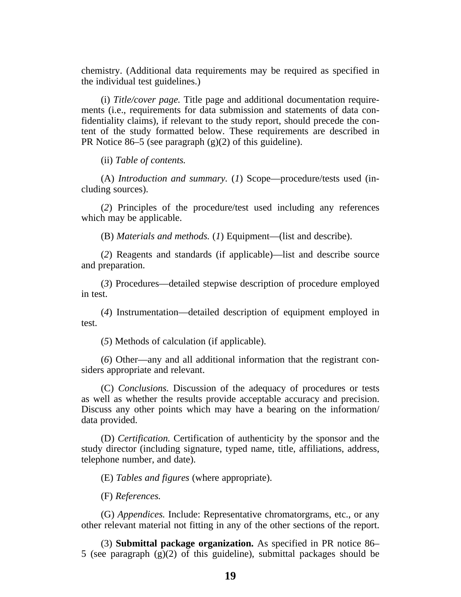chemistry. (Additional data requirements may be required as specified in the individual test guidelines.)

(i) *Title/cover page.* Title page and additional documentation requirements (i.e., requirements for data submission and statements of data confidentiality claims), if relevant to the study report, should precede the content of the study formatted below. These requirements are described in PR Notice 86–5 (see paragraph  $(g)(2)$  of this guideline).

(ii) *Table of contents.*

(A) *Introduction and summary.* (*1*) Scope—procedure/tests used (including sources).

(*2*) Principles of the procedure/test used including any references which may be applicable.

(B) *Materials and methods.* (*1*) Equipment—(list and describe).

(*2*) Reagents and standards (if applicable)—list and describe source and preparation.

(*3*) Procedures—detailed stepwise description of procedure employed in test.

(*4*) Instrumentation—detailed description of equipment employed in test.

(*5*) Methods of calculation (if applicable).

(*6*) Other—any and all additional information that the registrant considers appropriate and relevant.

(C) *Conclusions.* Discussion of the adequacy of procedures or tests as well as whether the results provide acceptable accuracy and precision. Discuss any other points which may have a bearing on the information/ data provided.

(D) *Certification.* Certification of authenticity by the sponsor and the study director (including signature, typed name, title, affiliations, address, telephone number, and date).

(E) *Tables and figures* (where appropriate).

(F) *References.*

(G) *Appendices.* Include: Representative chromatorgrams, etc., or any other relevant material not fitting in any of the other sections of the report.

(3) **Submittal package organization.** As specified in PR notice 86– 5 (see paragraph  $(g)(2)$  of this guideline), submittal packages should be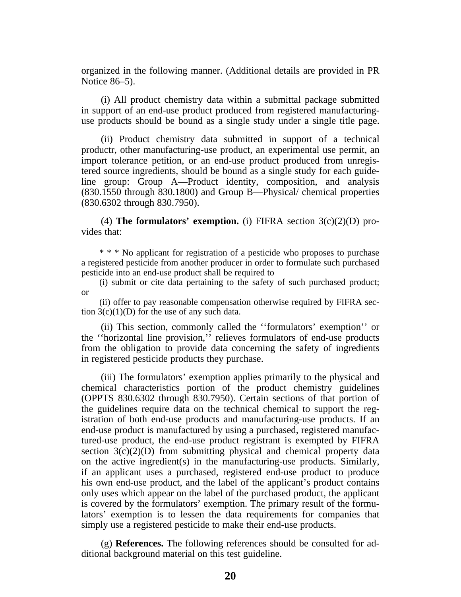organized in the following manner. (Additional details are provided in PR Notice 86–5).

(i) All product chemistry data within a submittal package submitted in support of an end-use product produced from registered manufacturinguse products should be bound as a single study under a single title page.

(ii) Product chemistry data submitted in support of a technical productr, other manufacturing-use product, an experimental use permit, an import tolerance petition, or an end-use product produced from unregistered source ingredients, should be bound as a single study for each guideline group: Group A—Product identity, composition, and analysis (830.1550 through 830.1800) and Group B—Physical/ chemical properties (830.6302 through 830.7950).

(4) **The formulators' exemption.** (i) FIFRA section  $3(c)(2)(D)$  provides that:

\* \* \* No applicant for registration of a pesticide who proposes to purchase a registered pesticide from another producer in order to formulate such purchased pesticide into an end-use product shall be required to

(i) submit or cite data pertaining to the safety of such purchased product; or

(ii) offer to pay reasonable compensation otherwise required by FIFRA section  $3(c)(1)(D)$  for the use of any such data.

(ii) This section, commonly called the ''formulators' exemption'' or the ''horizontal line provision,'' relieves formulators of end-use products from the obligation to provide data concerning the safety of ingredients in registered pesticide products they purchase.

(iii) The formulators' exemption applies primarily to the physical and chemical characteristics portion of the product chemistry guidelines (OPPTS 830.6302 through 830.7950). Certain sections of that portion of the guidelines require data on the technical chemical to support the registration of both end-use products and manufacturing-use products. If an end-use product is manufactured by using a purchased, registered manufactured-use product, the end-use product registrant is exempted by FIFRA section  $3(c)(2)(D)$  from submitting physical and chemical property data on the active ingredient(s) in the manufacturing-use products. Similarly, if an applicant uses a purchased, registered end-use product to produce his own end-use product, and the label of the applicant's product contains only uses which appear on the label of the purchased product, the applicant is covered by the formulators' exemption. The primary result of the formulators' exemption is to lessen the data requirements for companies that simply use a registered pesticide to make their end-use products.

(g) **References.** The following references should be consulted for additional background material on this test guideline.